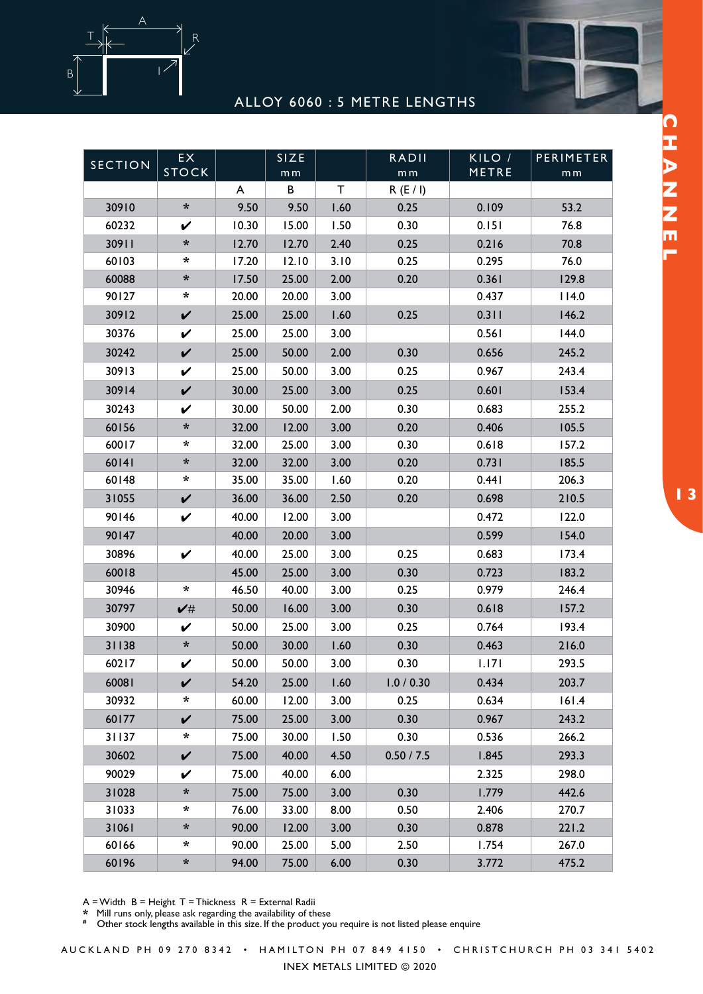



| <b>SECTION</b> | <b>EX</b><br><b>STOCK</b> |       | <b>SIZE</b><br>m <sub>m</sub> |      | <b>RADII</b><br>$\mathsf m\,\mathsf m$ | KILO/I<br>METRE | PERIMETER<br>m <sub>m</sub> |
|----------------|---------------------------|-------|-------------------------------|------|----------------------------------------|-----------------|-----------------------------|
|                |                           | A     | В                             | Τ    | R(E/I)                                 |                 |                             |
| 30910          | $\boldsymbol{\star}$      | 9.50  | 9.50                          | 1.60 | 0.25                                   | 0.109           | 53.2                        |
| 60232          | V                         | 10.30 | 15.00                         | 1.50 | 0.30                                   | 0.151           | 76.8                        |
| 30911          | *                         | 12.70 | 12.70                         | 2.40 | 0.25                                   | 0.216           | 70.8                        |
| 60103          | *                         | 17.20 | 12.10                         | 3.10 | 0.25                                   | 0.295           | 76.0                        |
| 60088          | *                         | 17.50 | 25.00                         | 2.00 | 0.20                                   | 0.361           | 129.8                       |
| 90127          | *                         | 20.00 | 20.00                         | 3.00 |                                        | 0.437           | 114.0                       |
| 30912          | $\checkmark$              | 25.00 | 25.00                         | 1.60 | 0.25                                   | 0.311           | 146.2                       |
| 30376          | $\checkmark$              | 25.00 | 25.00                         | 3.00 |                                        | 0.561           | 144.0                       |
| 30242          | $\checkmark$              | 25.00 | 50.00                         | 2.00 | 0.30                                   | 0.656           | 245.2                       |
| 30913          | $\checkmark$              | 25.00 | 50.00                         | 3.00 | 0.25                                   | 0.967           | 243.4                       |
| 30914          | $\checkmark$              | 30.00 | 25.00                         | 3.00 | 0.25                                   | 0.601           | 153.4                       |
| 30243          | V                         | 30.00 | 50.00                         | 2.00 | 0.30                                   | 0.683           | 255.2                       |
| 60156          | *                         | 32.00 | 12.00                         | 3.00 | 0.20                                   | 0.406           | 105.5                       |
| 60017          | $\ast$                    | 32.00 | 25.00                         | 3.00 | 0.30                                   | 0.618           | 157.2                       |
| 60141          | $\boldsymbol{\star}$      | 32.00 | 32.00                         | 3.00 | 0.20                                   | 0.731           | 185.5                       |
| 60148          | $\ast$                    | 35.00 | 35.00                         | 1.60 | 0.20                                   | 0.441           | 206.3                       |
| 31055          | $\checkmark$              | 36.00 | 36.00                         | 2.50 | 0.20                                   | 0.698           | 210.5                       |
| 90146          | V                         | 40.00 | 12.00                         | 3.00 |                                        | 0.472           | 122.0                       |
| 90147          |                           | 40.00 | 20.00                         | 3.00 |                                        | 0.599           | 154.0                       |
| 30896          | $\checkmark$              | 40.00 | 25.00                         | 3.00 | 0.25                                   | 0.683           | 173.4                       |
| 60018          |                           | 45.00 | 25.00                         | 3.00 | 0.30                                   | 0.723           | 183.2                       |
| 30946          | $\ast$                    | 46.50 | 40.00                         | 3.00 | 0.25                                   | 0.979           | 246.4                       |
| 30797          | $\checkmark$              | 50.00 | 16.00                         | 3.00 | 0.30                                   | 0.618           | 157.2                       |
| 30900          | V                         | 50.00 | 25.00                         | 3.00 | 0.25                                   | 0.764           | 193.4                       |
| 31138          | $\ast$                    | 50.00 | 30.00                         | 1.60 | 0.30                                   | 0.463           | 216.0                       |
| 60217          | V                         | 50.00 | 50.00                         | 3.00 | 0.30                                   | 1.171           | 293.5                       |
| 60081          | V                         | 54.20 | 25.00                         | 1.60 | 1.0 / 0.30                             | 0.434           | 203.7                       |
| 30932          | *                         | 60.00 | 12.00                         | 3.00 | 0.25                                   | 0.634           | 161.4                       |
| 60177          | $\checkmark$              | 75.00 | 25.00                         | 3.00 | 0.30                                   | 0.967           | 243.2                       |
| 31137          | *                         | 75.00 | 30.00                         | 1.50 | 0.30                                   | 0.536           | 266.2                       |
| 30602          | $\checkmark$              | 75.00 | 40.00                         | 4.50 | 0.50 / 7.5                             | 1.845           | 293.3                       |
| 90029          | V                         | 75.00 | 40.00                         | 6.00 |                                        | 2.325           | 298.0                       |
| 31028          | $\boldsymbol{\star}$      | 75.00 | 75.00                         | 3.00 | 0.30                                   | 1.779           | 442.6                       |
| 31033          | $\ast$                    | 76.00 | 33.00                         | 8.00 | 0.50                                   | 2.406           | 270.7                       |
| 31061          | $\boldsymbol{\ast}$       | 90.00 | 12.00                         | 3.00 | 0.30                                   | 0.878           | 221.2                       |
| 60166          | $\ast$                    | 90.00 | 25.00                         | 5.00 | 2.50                                   | 1.754           | 267.0                       |
| 60196          | $\boldsymbol{\ast}$       | 94.00 | 75.00                         | 6.00 | 0.30                                   | 3.772           | 475.2                       |

A = Width B = Height T = Thickness R = External Radii

**\*** Mill runs only, please ask regarding the availability of these

<sup>2</sup> This cases only, picture task regarding the transmistry of access to the product you require is not listed please enquire

CHANEL **DEFINITIONS 1 3 CHANNEL**

A U C K L A N D P H 0 9 2 7 0 8 3 4 2 • H A M I L T ON P H 0 7 8 4 9 4 1 5 0 • C H R I S T C H U R C H P H 0 3 3 4 1 5 4 0 2

INEX METALS LIMITED © 2020